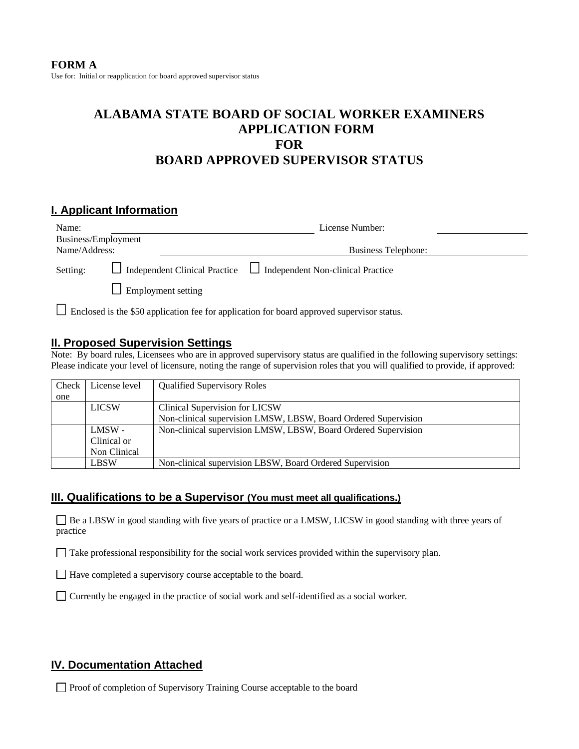# **ALABAMA STATE BOARD OF SOCIAL WORKER EXAMINERS APPLICATION FORM FOR BOARD APPROVED SUPERVISOR STATUS**

## **I. Applicant Information**

| Name:               |                           | License Number:                                                               |  |
|---------------------|---------------------------|-------------------------------------------------------------------------------|--|
| Business/Employment |                           |                                                                               |  |
| Name/Address:       |                           | Business Telephone:                                                           |  |
| Setting:            |                           | $\Box$ Independent Clinical Practice $\Box$ Independent Non-clinical Practice |  |
|                     | $\Box$ Employment setting |                                                                               |  |
|                     |                           |                                                                               |  |

Enclosed is the \$50 application fee for application for board approved supervisor status.

#### **II. Proposed Supervision Settings**

Note: By board rules, Licensees who are in approved supervisory status are qualified in the following supervisory settings: Please indicate your level of licensure, noting the range of supervision roles that you will qualified to provide, if approved:

| Check | License level | <b>Qualified Supervisory Roles</b>                             |
|-------|---------------|----------------------------------------------------------------|
| one   |               |                                                                |
|       | <b>LICSW</b>  | Clinical Supervision for LICSW                                 |
|       |               | Non-clinical supervision LMSW, LBSW, Board Ordered Supervision |
|       | LMSW -        | Non-clinical supervision LMSW, LBSW, Board Ordered Supervision |
|       | Clinical or   |                                                                |
|       | Non Clinical  |                                                                |
|       | <b>LBSW</b>   | Non-clinical supervision LBSW, Board Ordered Supervision       |

#### **III. Qualifications to be a Supervisor (You must meet all qualifications.)**

Be a LBSW in good standing with five years of practice or a LMSW, LICSW in good standing with three years of practice

Take professional responsibility for the social work services provided within the supervisory plan.

Have completed a supervisory course acceptable to the board.

Currently be engaged in the practice of social work and self-identified as a social worker.

## **IV. Documentation Attached**

Proof of completion of Supervisory Training Course acceptable to the board